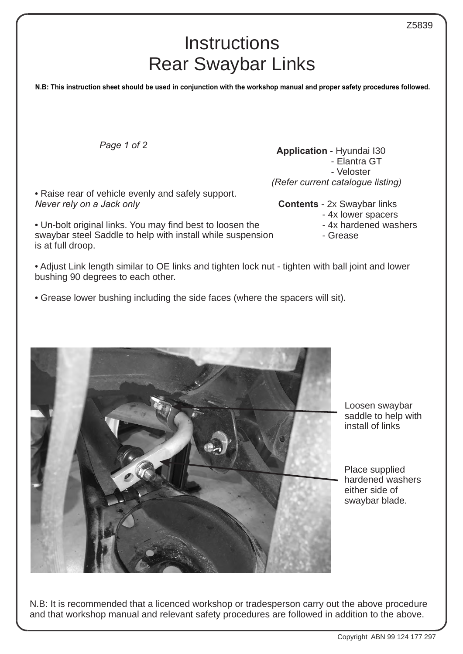## Ι **Instructions** Rear Swaybar Links

**N.B: This instruction sheet should be used in conjunction with the workshop manual and proper safety procedures followed.**

*Page 1 of 2*

• Raise rear of vehicle evenly and safely support. *Never rely on a Jack only*

• Un-bolt original links. You may find best to loosen the swaybar steel Saddle to help with install while suspension is at full droop.

• Adjust Link length similar to OE links and tighten lock nut - tighten with ball joint and lower bushing 90 degrees to each other.

• Grease lower bushing including the side faces (where the spacers will sit).

Loosen swaybar saddle to help with install of links

Place supplied hardened washers either side of swaybar blade.

N.B: It is recommended that a licenced workshop or tradesperson carry out the above procedure and that workshop manual and relevant safety procedures are followed in addition to the above.



 - Elantra GT - Veloster *(Refer current catalogue listing)*

**Application** - Hyundai I30

**Contents** - 2x Swaybar links

- 4x lower spacers
- 4x hardened washers
- Grease